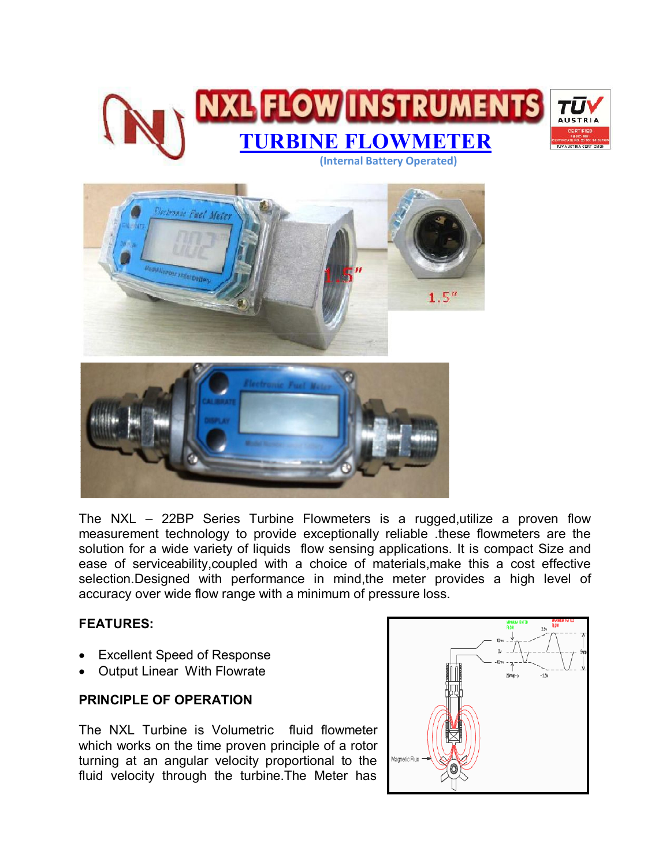



The NXL – 22BP Series Turbine Flowmeters is a rugged,utilize a proven flow measurement technology to provide exceptionally reliable .these flowmeters are the solution for a wide variety of liquids flow sensing applications. It is compact Size and ease of serviceability,coupled with a choice of materials,make this a cost effective selection.Designed with performance in mind,the meter provides a high level of accuracy over wide flow range with a minimum of pressure loss.

### **FEATURES:**

- Excellent Speed of Response
- Output Linear With Flowrate

### **PRINCIPLE OF OPERATION**

The NXL Turbine is Volumetric fluid flowmeter which works on the time proven principle of a rotor turning at an angular velocity proportional to the fluid velocity through the turbine.The Meter has

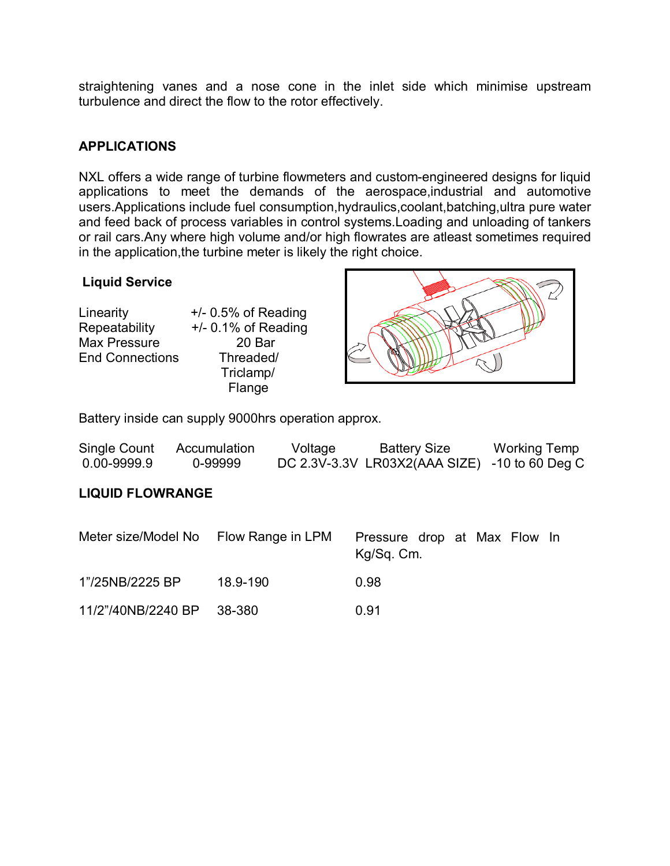straightening vanes and a nose cone in the inlet side which minimise upstream turbulence and direct the flow to the rotor effectively.

## **APPLICATIONS**

NXL offers a wide range of turbine flowmeters and custom-engineered designs for liquid applications to meet the demands of the aerospace,industrial and automotive users.Applications include fuel consumption,hydraulics,coolant,batching,ultra pure water and feed back of process variables in control systems.Loading and unloading of tankers or rail cars.Any where high volume and/or high flowrates are atleast sometimes required in the application, the turbine meter is likely the right choice.

### **Liquid Service**

Linearity +/- 0.5% of Reading Repeatability +/- 0.1% of Reading Max Pressure 20 Bar End Connections Threaded/

 Triclamp/ Flange



Battery inside can supply 9000hrs operation approx.

| Single Count    | Accumulation | Voltage | <b>Battery Size</b>                           | <b>Working Temp</b> |
|-----------------|--------------|---------|-----------------------------------------------|---------------------|
| $0.00 - 9999.9$ | 0-99999      |         | DC 2.3V-3.3V LR03X2(AAA SIZE) -10 to 60 Deg C |                     |

### **LIQUID FLOWRANGE**

| Meter size/Model No Flow Range in LPM |          | Pressure drop at Max Flow In<br>Kg/Sq. Cm. |
|---------------------------------------|----------|--------------------------------------------|
| 1"/25NB/2225 BP                       | 18.9-190 | 0.98                                       |
| 11/2"/40NB/2240 BP 38-380             |          | 0.91                                       |